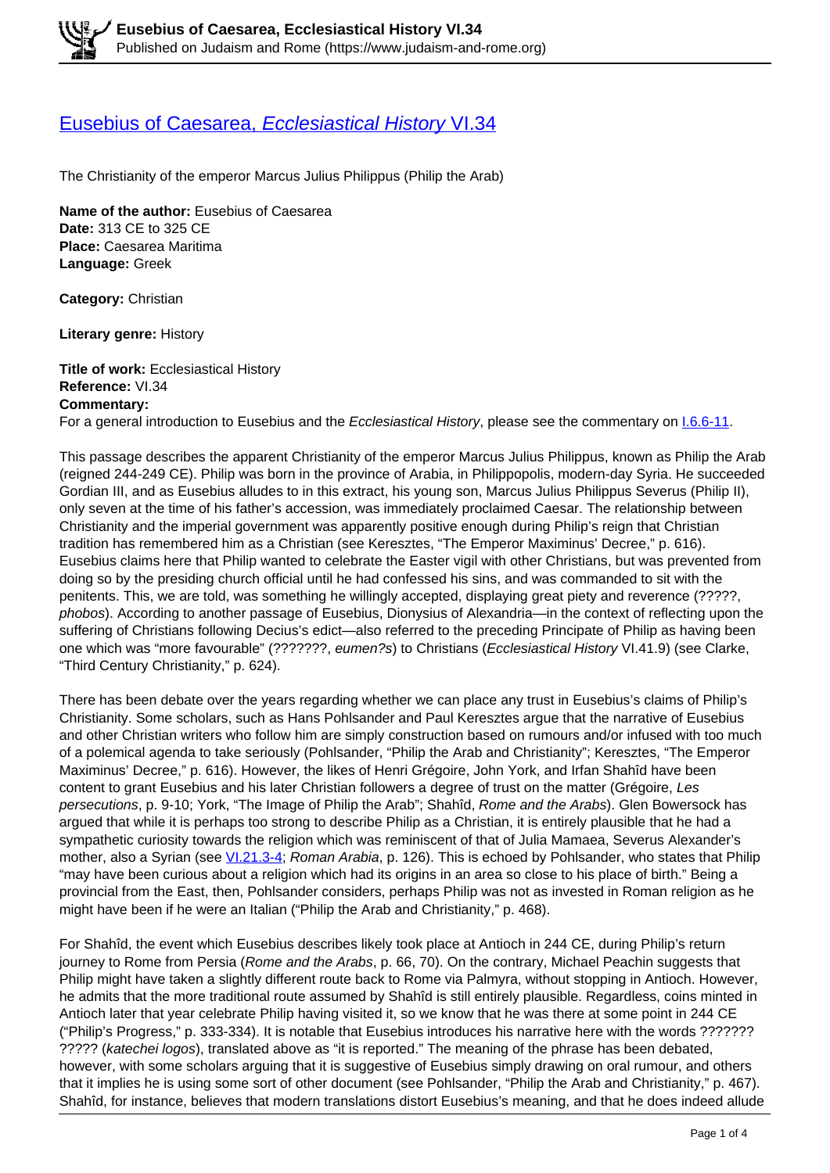## [Eusebius of Caesarea,](https://www.judaism-and-rome.org/eusebius-caesarea-ecclesiastical-history-vi34) [Ecclesiastical History](https://www.judaism-and-rome.org/eusebius-caesarea-ecclesiastical-history-vi34) [VI.34](https://www.judaism-and-rome.org/eusebius-caesarea-ecclesiastical-history-vi34)

The Christianity of the emperor Marcus Julius Philippus (Philip the Arab)

**Name of the author: Eusebius of Caesarea Date:** 313 CE to 325 CE **Place:** Caesarea Maritima **Language:** Greek

**Category:** Christian

**Literary genre:** History

**Title of work:** Ecclesiastical History **Reference:** VI.34 **Commentary:** 

For a general introduction to Eusebius and the Ecclesiastical History, please see the commentary on 1.6.6-11.

This passage describes the apparent Christianity of the emperor Marcus Julius Philippus, known as Philip the Arab (reigned 244-249 CE). Philip was born in the province of Arabia, in Philippopolis, modern-day Syria. He succeeded Gordian III, and as Eusebius alludes to in this extract, his young son, Marcus Julius Philippus Severus (Philip II), only seven at the time of his father's accession, was immediately proclaimed Caesar. The relationship between Christianity and the imperial government was apparently positive enough during Philip's reign that Christian tradition has remembered him as a Christian (see Keresztes, "The Emperor Maximinus' Decree," p. 616). Eusebius claims here that Philip wanted to celebrate the Easter vigil with other Christians, but was prevented from doing so by the presiding church official until he had confessed his sins, and was commanded to sit with the penitents. This, we are told, was something he willingly accepted, displaying great piety and reverence (?????, phobos). According to another passage of Eusebius, Dionysius of Alexandria—in the context of reflecting upon the suffering of Christians following Decius's edict—also referred to the preceding Principate of Philip as having been one which was "more favourable" (???????, eumen?s) to Christians (Ecclesiastical History VI.41.9) (see Clarke, "Third Century Christianity," p. 624).

There has been debate over the years regarding whether we can place any trust in Eusebius's claims of Philip's Christianity. Some scholars, such as Hans Pohlsander and Paul Keresztes argue that the narrative of Eusebius and other Christian writers who follow him are simply construction based on rumours and/or infused with too much of a polemical agenda to take seriously (Pohlsander, "Philip the Arab and Christianity"; Keresztes, "The Emperor Maximinus' Decree," p. 616). However, the likes of Henri Grégoire, John York, and Irfan Shahîd have been content to grant Eusebius and his later Christian followers a degree of trust on the matter (Grégoire, Les persecutions, p. 9-10; York, "The Image of Philip the Arab"; Shahîd, Rome and the Arabs). Glen Bowersock has argued that while it is perhaps too strong to describe Philip as a Christian, it is entirely plausible that he had a sympathetic curiosity towards the religion which was reminiscent of that of Julia Mamaea, Severus Alexander's mother, also a Syrian (see VI.21.3-4; Roman Arabia, p. 126). This is echoed by Pohlsander, who states that Philip "may have been curious about a religion which had its origins in an area so close to his place of birth." Being a provincial from the East, then, Pohlsander considers, perhaps Philip was not as invested in Roman religion as he might have been if he were an Italian ("Philip the Arab and Christianity," p. 468).

For Shahîd, the event which Eusebius describes likely took place at Antioch in 244 CE, during Philip's return journey to Rome from Persia (Rome and the Arabs, p. 66, 70). On the contrary, Michael Peachin suggests that Philip might have taken a slightly different route back to Rome via Palmyra, without stopping in Antioch. However, he admits that the more traditional route assumed by Shahîd is still entirely plausible. Regardless, coins minted in Antioch later that year celebrate Philip having visited it, so we know that he was there at some point in 244 CE ("Philip's Progress," p. 333-334). It is notable that Eusebius introduces his narrative here with the words ??????? ????? (katechei logos), translated above as "it is reported." The meaning of the phrase has been debated, however, with some scholars arguing that it is suggestive of Eusebius simply drawing on oral rumour, and others that it implies he is using some sort of other document (see Pohlsander, "Philip the Arab and Christianity," p. 467). Shahîd, for instance, believes that modern translations distort Eusebius's meaning, and that he does indeed allude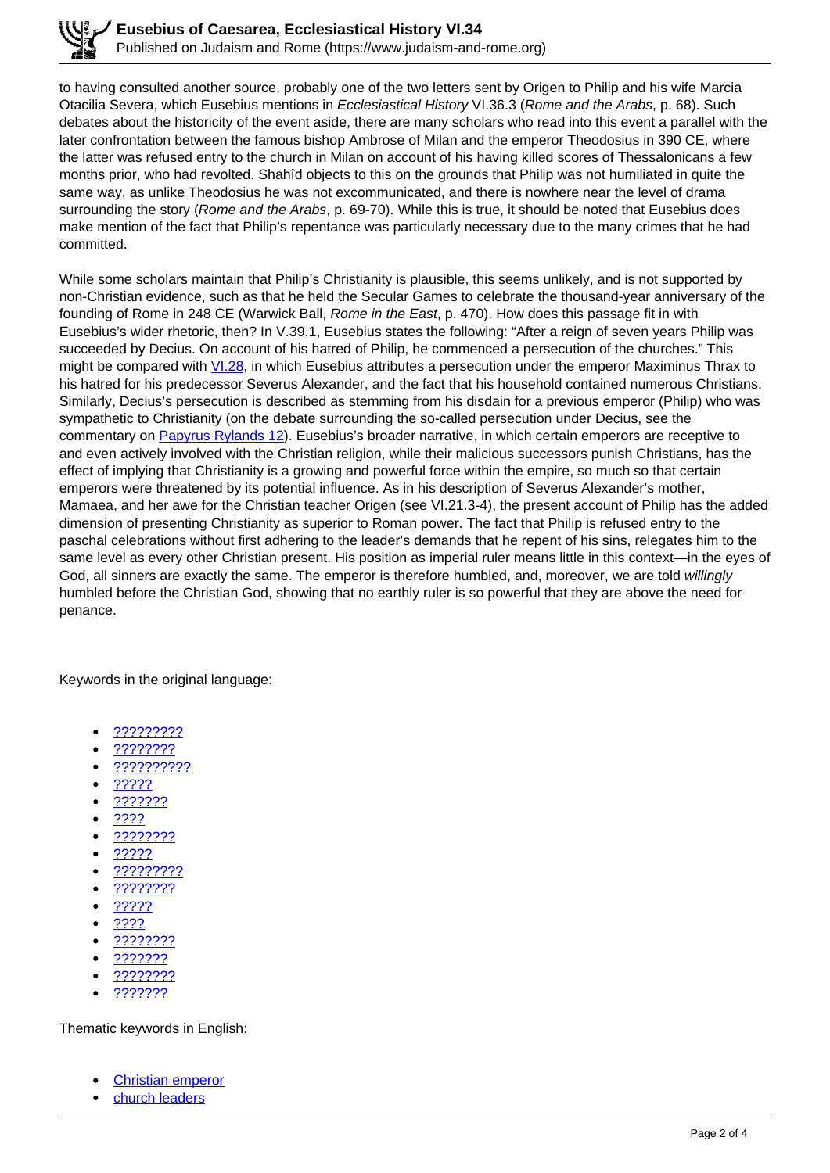to having consulted another source, probably one of the two letters sent by Origen to Philip and his wife Marcia Otacilia Severa, which Eusebius mentions in Ecclesiastical History VI.36.3 (Rome and the Arabs, p. 68). Such debates about the historicity of the event aside, there are many scholars who read into this event a parallel with the later confrontation between the famous bishop Ambrose of Milan and the emperor Theodosius in 390 CE, where the latter was refused entry to the church in Milan on account of his having killed scores of Thessalonicans a few months prior, who had revolted. Shahîd objects to this on the grounds that Philip was not humiliated in quite the same way, as unlike Theodosius he was not excommunicated, and there is nowhere near the level of drama surrounding the story (Rome and the Arabs, p. 69-70). While this is true, it should be noted that Eusebius does make mention of the fact that Philip's repentance was particularly necessary due to the many crimes that he had committed.

While some scholars maintain that Philip's Christianity is plausible, this seems unlikely, and is not supported by non-Christian evidence, such as that he held the Secular Games to celebrate the thousand-year anniversary of the founding of Rome in 248 CE (Warwick Ball, *Rome in the East*, p. 470). How does this passage fit in with Eusebius's wider rhetoric, then? In V.39.1, Eusebius states the following: "After a reign of seven years Philip was succeeded by Decius. On account of his hatred of Philip, he commenced a persecution of the churches." This might be compared with  $\underline{V1.28}$ , in which Eusebius attributes a persecution under the emperor Maximinus Thrax to his hatred for his predecessor Severus Alexander, and the fact that his household contained numerous Christians. Similarly, Decius's persecution is described as stemming from his disdain for a previous emperor (Philip) who was sympathetic to Christianity (on the debate surrounding the so-called persecution under Decius, see the commentary on Papyrus Rylands 12). Eusebius's broader narrative, in which certain emperors are receptive to and even actively involved with the Christian religion, while their malicious successors punish Christians, has the effect of implying that Christianity is a growing and powerful force within the empire, so much so that certain emperors were threatened by its potential influence. As in his description of Severus Alexander's mother, Mamaea, and her awe for the Christian teacher Origen (see VI.21.3-4), the present account of Philip has the added dimension of presenting Christianity as superior to Roman power. The fact that Philip is refused entry to the paschal celebrations without first adhering to the leader's demands that he repent of his sins, relegates him to the same level as every other Christian present. His position as imperial ruler means little in this context—in the eyes of God, all sinners are exactly the same. The emperor is therefore humbled, and, moreover, we are told willingly humbled before the Christian God, showing that no earthly ruler is so powerful that they are above the need for penance.

Keywords in the original language:

- ?????????
- ????????
- ??????????
- ?????
- ???????
- ????
- ????????
- ?????
- ?????????
- ????????
- ?????
- ????
- ????????
- ???????
- <u>????????</u>
- ???????

Thematic keywords in English:

- Christian emperor
- church leaders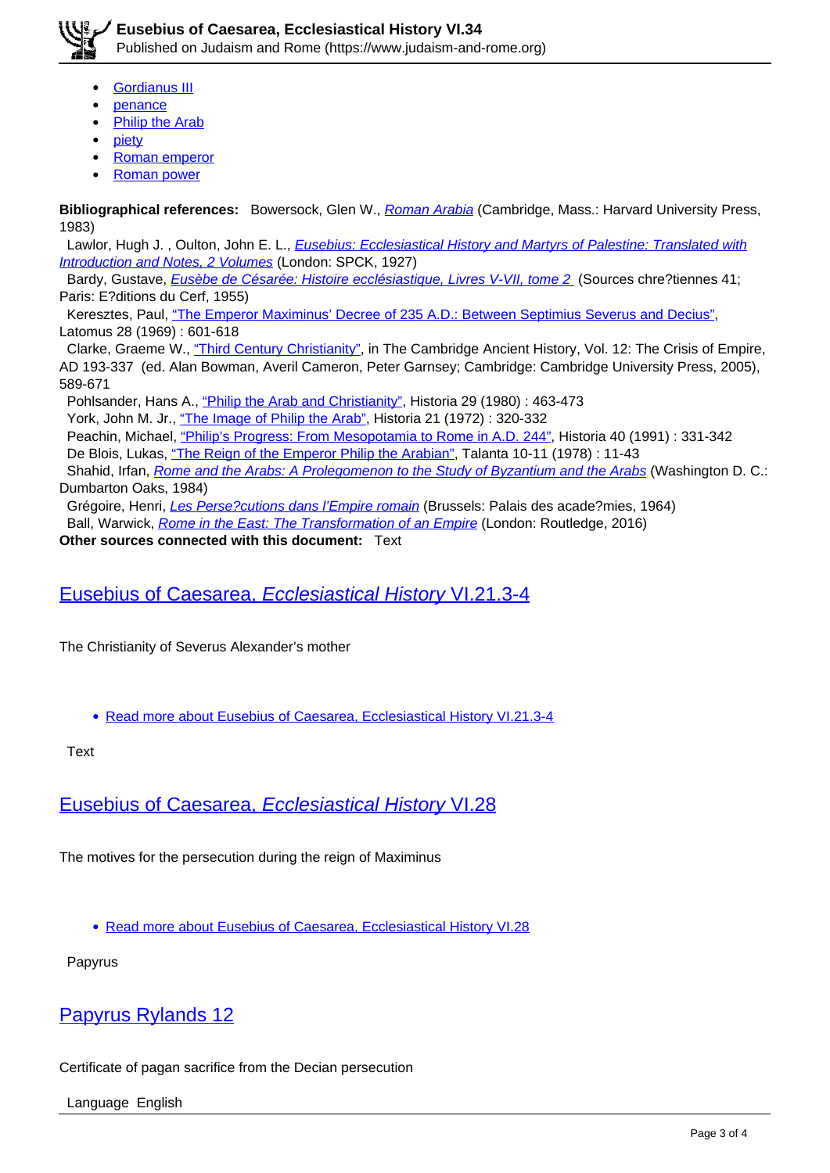

Published on Judaism and Rome (https://www.judaism-and-rome.org)

- Gordianus III
- penance
- Philip the Arab
- piety
- Roman emperor
- Roman power

**Bibliographical references:** Bowersock, Glen W., Roman Arabia (Cambridge, Mass.: Harvard University Press, 1983)

Lawlor, Hugh J., Oulton, John E. L., *Eusebius: Ecclesiastical History and Martyrs of Palestine: Translated with* Introduction and Notes, 2 Volumes (London: SPCK, 1927)

Bardy, Gustave, *Eusèbe de Césarée: Histoire ecclésiastique, Livres V-VII, tome 2* (Sources chre?tiennes 41; Paris: E?ditions du Cerf, 1955)

 Keresztes, Paul, "The Emperor Maximinus' Decree of 235 A.D.: Between Septimius Severus and Decius", Latomus 28 (1969) : 601-618

 Clarke, Graeme W., "Third Century Christianity", in The Cambridge Ancient History, Vol. 12: The Crisis of Empire, AD 193-337 (ed. Alan Bowman, Averil Cameron, Peter Garnsey; Cambridge: Cambridge University Press, 2005), 589-671

Pohlsander, Hans A., "Philip the Arab and Christianity", Historia 29 (1980) : 463-473

York, John M. Jr., "The Image of Philip the Arab", Historia 21 (1972) : 320-332

Peachin, Michael, "Philip's Progress: From Mesopotamia to Rome in A.D. 244", Historia 40 (1991) : 331-342

De Blois, Lukas, "The Reign of the Emperor Philip the Arabian", Talanta 10-11 (1978) : 11-43

Shahid, Irfan, Rome and the Arabs: A Prolegomenon to the Study of Byzantium and the Arabs (Washington D. C.: Dumbarton Oaks, 1984)

Grégoire, Henri, Les Perse?cutions dans l'Empire romain (Brussels: Palais des acade?mies, 1964) Ball, Warwick, Rome in the East: The Transformation of an Empire (London: Routledge, 2016)

**Other sources connected with this document:** Text

## Eusebius of Caesarea, Ecclesiastical History VI.21.3-4

The Christianity of Severus Alexander's mother

Read more about Eusebius of Caesarea, Ecclesiastical History VI.21.3-4

**Text** 

Eusebius of Caesarea, Ecclesiastical History VI.28

The motives for the persecution during the reign of Maximinus

Read more about Eusebius of Caesarea, Ecclesiastical History VI.28

Papyrus

## Papyrus Rylands 12

Certificate of pagan sacrifice from the Decian persecution